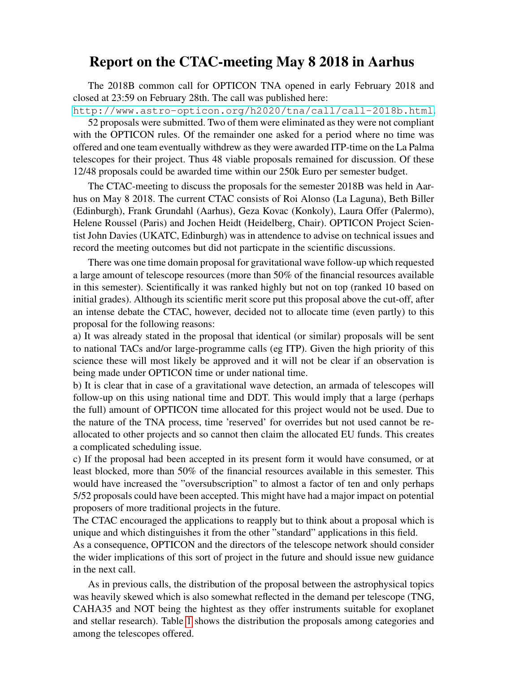## Report on the CTAC-meeting May 8 2018 in Aarhus

The 2018B common call for OPTICON TNA opened in early February 2018 and closed at 23:59 on February 28th. The call was published here:

<http://www.astro-opticon.org/h2020/tna/call/call-2018b.html>. 52 proposals were submitted. Two of them were eliminated as they were not compliant with the OPTICON rules. Of the remainder one asked for a period where no time was offered and one team eventually withdrew as they were awarded ITP-time on the La Palma telescopes for their project. Thus 48 viable proposals remained for discussion. Of these 12/48 proposals could be awarded time within our 250k Euro per semester budget.

The CTAC-meeting to discuss the proposals for the semester 2018B was held in Aarhus on May 8 2018. The current CTAC consists of Roi Alonso (La Laguna), Beth Biller (Edinburgh), Frank Grundahl (Aarhus), Geza Kovac (Konkoly), Laura Offer (Palermo), Helene Roussel (Paris) and Jochen Heidt (Heidelberg, Chair). OPTICON Project Scientist John Davies (UKATC, Edinburgh) was in attendence to advise on technical issues and record the meeting outcomes but did not particpate in the scientific discussions.

There was one time domain proposal for gravitational wave follow-up which requested a large amount of telescope resources (more than 50% of the financial resources available in this semester). Scientifically it was ranked highly but not on top (ranked 10 based on initial grades). Although its scientific merit score put this proposal above the cut-off, after an intense debate the CTAC, however, decided not to allocate time (even partly) to this proposal for the following reasons:

a) It was already stated in the proposal that identical (or similar) proposals will be sent to national TACs and/or large-programme calls (eg ITP). Given the high priority of this science these will most likely be approved and it will not be clear if an observation is being made under OPTICON time or under national time.

b) It is clear that in case of a gravitational wave detection, an armada of telescopes will follow-up on this using national time and DDT. This would imply that a large (perhaps the full) amount of OPTICON time allocated for this project would not be used. Due to the nature of the TNA process, time 'reserved' for overrides but not used cannot be reallocated to other projects and so cannot then claim the allocated EU funds. This creates a complicated scheduling issue.

c) If the proposal had been accepted in its present form it would have consumed, or at least blocked, more than 50% of the financial resources available in this semester. This would have increased the "oversubscription" to almost a factor of ten and only perhaps 5/52 proposals could have been accepted. This might have had a major impact on potential proposers of more traditional projects in the future.

The CTAC encouraged the applications to reapply but to think about a proposal which is unique and which distinguishes it from the other "standard" applications in this field.

As a consequence, OPTICON and the directors of the telescope network should consider the wider implications of this sort of project in the future and should issue new guidance in the next call.

As in previous calls, the distribution of the proposal between the astrophysical topics was heavily skewed which is also somewhat reflected in the demand per telescope (TNG, CAHA35 and NOT being the hightest as they offer instruments suitable for exoplanet and stellar research). Table [1](#page-1-0) shows the distribution the proposals among categories and among the telescopes offered.